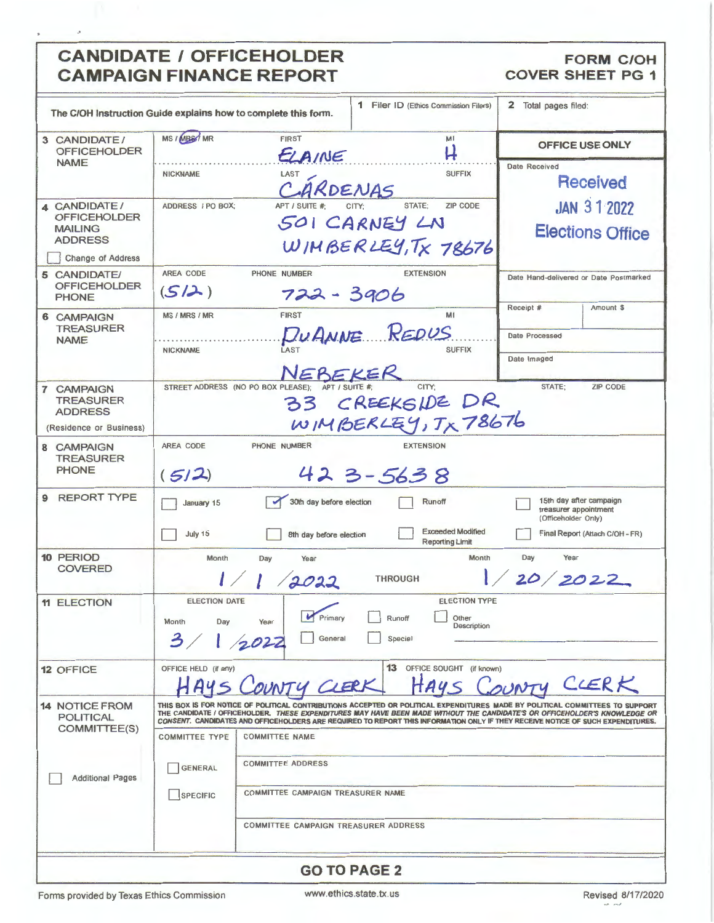## **CANDIDATE / OFFICEHOLDER CAMPAIGN FINANCE REPORT**

## **FORM C/OH COVER SHEET PG 1**

| The C/OH Instruction Guide explains how to complete this form.                                      |                                            |                                                               | 1 Filer ID (Ethics Commission Filers)                                       | 2 Total pages filed:                                                                                                                                                                                                                                                                                                                                                                          |
|-----------------------------------------------------------------------------------------------------|--------------------------------------------|---------------------------------------------------------------|-----------------------------------------------------------------------------|-----------------------------------------------------------------------------------------------------------------------------------------------------------------------------------------------------------------------------------------------------------------------------------------------------------------------------------------------------------------------------------------------|
| 3 CANDIDATE/<br><b>OFFICEHOLDER</b><br><b>NAME</b>                                                  | MS / MBS/ MR                               | <b>FIRST</b><br>ELAINE                                        | MI<br>H                                                                     | OFFICE USE ONLY                                                                                                                                                                                                                                                                                                                                                                               |
|                                                                                                     | <b>NICKNAME</b>                            | LAST<br>ARDENAS                                               | <b>SUFFIX</b>                                                               | <b>Date Received</b><br><b>Received</b>                                                                                                                                                                                                                                                                                                                                                       |
| 4 CANDIDATE/<br><b>OFFICEHOLDER</b><br><b>MAILING</b><br><b>ADDRESS</b><br><b>Change of Address</b> | ADDRESS / PO BOX;                          | APT / SUITE #                                                 | STATE;<br><b>ZIP CODE</b><br>501 CARNEY LN<br>WIMBERLEY, TX 78676           | <b>JAN 312022</b><br><b>Elections Office</b>                                                                                                                                                                                                                                                                                                                                                  |
| 5 CANDIDATE/<br><b>OFFICEHOLDER</b><br><b>PHONE</b>                                                 | AREA CODE<br>(S/2)                         | PHONE NUMBER<br>722 - 3906                                    | <b>EXTENSION</b>                                                            | Date Hand-delivered or Date Postmarked                                                                                                                                                                                                                                                                                                                                                        |
| <b>6 CAMPAIGN</b><br><b>TREASURER</b><br><b>NAME</b>                                                | MS / MRS / MR<br><b>NICKNAME</b>           | <b>FIRST</b><br>NEBEKER                                       | M1<br>DUANNE REDUS<br><b>SUFFIX</b>                                         | Receipt #<br>Amount \$<br>Date Processed<br>Date Imaged                                                                                                                                                                                                                                                                                                                                       |
| 7 CAMPAIGN<br><b>TREASURER</b><br><b>ADDRESS</b><br>(Residence or Business)                         |                                            | APT / SUITE #<br>STREET ADDRESS (NO PO BOX PLEASE);           | CITY:<br>33 CREEKSIDE DR<br>WIMBERLEY, TX 78676                             | STATE:<br><b>ZIP CODE</b>                                                                                                                                                                                                                                                                                                                                                                     |
| 8 CAMPAIGN<br><b>TREASURER</b><br><b>PHONE</b>                                                      | AREA CODE<br>(512)                         | PHONE NUMBER                                                  | <b>EXTENSION</b><br>423-5638                                                |                                                                                                                                                                                                                                                                                                                                                                                               |
| <b>REPORT TYPE</b><br>9                                                                             | January 15<br>July 15                      | 30th day before election<br>8th day before election           | Runoff<br><b>Exceeded Modified</b><br><b>Reporting Limit</b>                | 15th day after campaign<br>treasurer appointment<br>(Officeholder Only)<br>Final Report (Attach C/OH - FR)                                                                                                                                                                                                                                                                                    |
| 10 PERIOD<br><b>COVERED</b>                                                                         | Month                                      | Day<br>Year<br>2022                                           | Month<br><b>THROUGH</b>                                                     | Day<br>Year<br>1/20/2022                                                                                                                                                                                                                                                                                                                                                                      |
| <b>11 ELECTION</b>                                                                                  | <b>ELECTION DATE</b><br>Month<br>Day<br>3/ | Primary<br>Year<br>General<br>1/2022                          | <b>ELECTION TYPE</b><br>□<br>□<br>Other<br>Runoff<br>Description<br>Special |                                                                                                                                                                                                                                                                                                                                                                                               |
| <b>12 OFFICE</b>                                                                                    | OFFICE HELD (if any)<br>H A4               | NTY CLERK                                                     | 13 OFFICE SOUGHT (if known)                                                 | OUNTY CLERK                                                                                                                                                                                                                                                                                                                                                                                   |
| <b>14 NOTICE FROM</b><br><b>POLITICAL</b><br>COMMITTEE(S)                                           | <b>COMMITTEE TYPE</b>                      | <b>COMMITTEE NAME</b>                                         |                                                                             | THIS BOX IS FOR NOTICE OF POLITICAL CONTRIBUTIONS ACCEPTED OR POLITICAL EXPENDITURES MADE BY POLITICAL COMMITTEES TO SUPPORT<br>THE CANDIDATE / OFFICEHOLDER. THESE EXPENDITURES MAY HAVE BEEN MADE WITHOUT THE CANDIDATE'S OR OFFICEHOLDER'S KNOWLEDGE OR<br>CONSENT. CANDIDATES AND OFFICEHOLDERS ARE REQUIRED TO REPORT THIS INFORMATION ONLY IF THEY RECEIVE NOTICE OF SUCH EXPENDITURES. |
| <b>Additional Pages</b>                                                                             | <b>GENERAL</b><br><b>SPECIFIC</b>          | <b>COMMITTEE ADDRESS</b><br>COMMITTEE CAMPAIGN TREASURER NAME |                                                                             |                                                                                                                                                                                                                                                                                                                                                                                               |
|                                                                                                     |                                            | COMMITTEE CAMPAIGN TREASURER ADDRESS                          |                                                                             |                                                                                                                                                                                                                                                                                                                                                                                               |
|                                                                                                     |                                            |                                                               | <b>GO TO PAGE 2</b>                                                         |                                                                                                                                                                                                                                                                                                                                                                                               |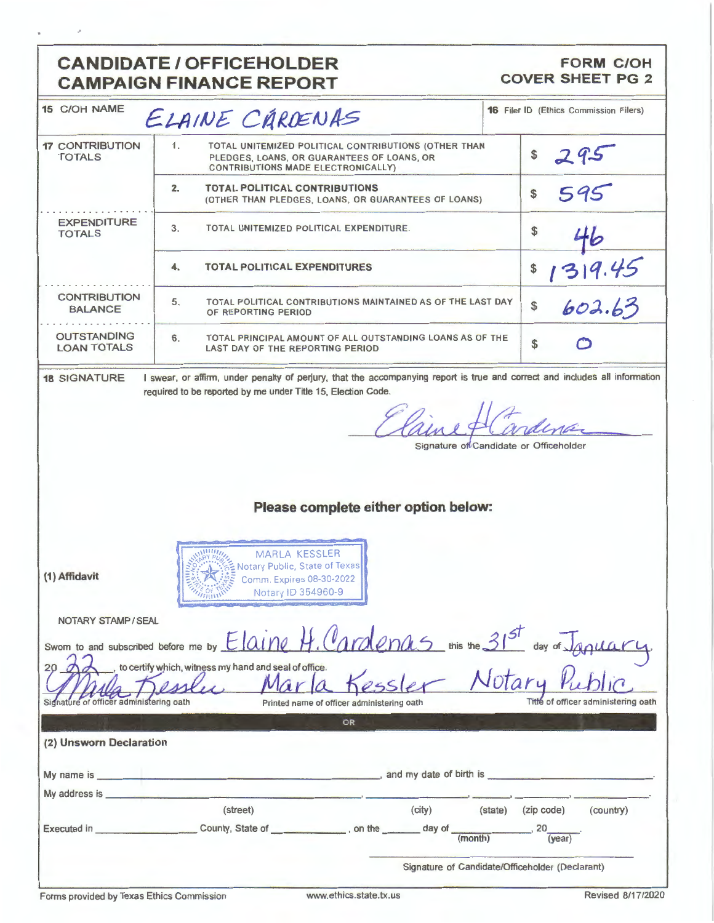## **CANDIDATE / OFFICEHOLDER Statement College**

## FORM C/OH<br>COVER SHEET PG 2

|                                                                                                                                         | CAMPAIGN FINANCE REPORT                                                                                                                                         |                                               |  |  |
|-----------------------------------------------------------------------------------------------------------------------------------------|-----------------------------------------------------------------------------------------------------------------------------------------------------------------|-----------------------------------------------|--|--|
| <b>15 C/OH NAME</b>                                                                                                                     | ELAINE CÁRDENAS                                                                                                                                                 | <b>16</b> Filer ID (Ethics Commission Filers) |  |  |
| <b>17 CONTRIBUTION</b><br><b>TOTALS</b>                                                                                                 | 1.<br>TOTAL UNITEMIZED POLITICAL CONTRIBUTIONS (OTHER THAN<br>PLEDGES, LOANS, OR GUARANTEES OF LOANS, OR<br><b>CONTRIBUTIONS MADE ELECTRONICALLY)</b>           |                                               |  |  |
|                                                                                                                                         | <b>TOTAL POLITICAL CONTRIBUTIONS</b><br>2.<br>(OTHER THAN PLEDGES, LOANS, OR GUARANTEES OF LOANS)                                                               | 595<br>\$                                     |  |  |
| <b>EXPENDITURE</b><br><b>TOTALS</b>                                                                                                     | 3.<br>TOTAL UNITEMIZED POLITICAL EXPENDITURE.                                                                                                                   |                                               |  |  |
|                                                                                                                                         | <b>TOTAL POLITICAL EXPENDITURES</b><br>4.                                                                                                                       | 319.45<br>\$                                  |  |  |
| <b>CONTRIBUTION</b><br><b>BALANCE</b>                                                                                                   | 5.<br>TOTAL POLITICAL CONTRIBUTIONS MAINTAINED AS OF THE LAST DAY<br>OF REPORTING PERIOD                                                                        | 602.63<br>\$                                  |  |  |
| <b>OUTSTANDING</b><br><b>LOAN TOTALS</b>                                                                                                | TOTAL PRINCIPAL AMOUNT OF ALL OUTSTANDING LOANS AS OF THE<br>6.<br>LAST DAY OF THE REPORTING PERIOD                                                             | \$                                            |  |  |
|                                                                                                                                         | Signature of Candidate or Officeholder                                                                                                                          |                                               |  |  |
|                                                                                                                                         | Please complete either option below:                                                                                                                            |                                               |  |  |
| <b>MARLA KESSLER</b><br>Notary Public, State of Texas<br>(1) Affidavit<br>Comm. Expires 08-30-2022<br>Notary ID 354960-9<br><b>THIW</b> |                                                                                                                                                                 |                                               |  |  |
| NOTARY STAMP / SEAL                                                                                                                     |                                                                                                                                                                 |                                               |  |  |
| Swom to and subscribed before me by                                                                                                     |                                                                                                                                                                 |                                               |  |  |
| of officer administering oath                                                                                                           | Elaine H. Cardenas mis me 31st day of January.<br>to certify which, witness my hand and seal of office.<br>Notary<br>Printed name of officer administering oath | Title of officer administering oath           |  |  |
|                                                                                                                                         | OR                                                                                                                                                              |                                               |  |  |

| (2) Unsworn Declaration |  |
|-------------------------|--|
|                         |  |

|               |                  |                         |         | Signature of Candidate/Officeholder (Declarant) |           |
|---------------|------------------|-------------------------|---------|-------------------------------------------------|-----------|
| Executed in   | County, State of | on the _______ day of _ | (month) | .20<br>(year)                                   |           |
|               | (street)         | (city)                  | (state) | (zip code)                                      | (country) |
| My address is |                  |                         |         |                                                 |           |
| My name is    |                  | and my date of birth is |         |                                                 |           |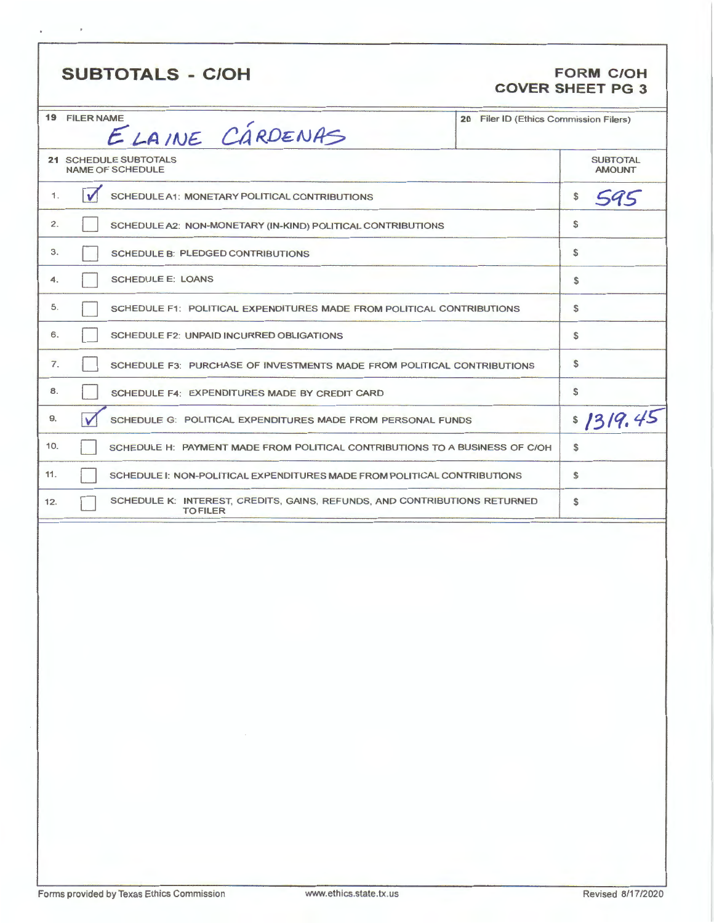|     |                                                                                              |  |                                        | <b>COVER SHEET PG 3</b>          |
|-----|----------------------------------------------------------------------------------------------|--|----------------------------------------|----------------------------------|
|     | <b>19 FILER NAME</b><br>ELAINE CÁRDENAS                                                      |  | 20 Filer ID (Ethics Commission Filers) |                                  |
|     | 21 SCHEDULE SUBTOTALS<br><b>NAME OF SCHEDULE</b>                                             |  |                                        | <b>SUBTOTAL</b><br><b>AMOUNT</b> |
| 1.  | $\sqrt{2}$<br><b>SCHEDULE A1: MONETARY POLITICAL CONTRIBUTIONS</b>                           |  |                                        | \$<br>595                        |
| 2.  | SCHEDULE A2: NON-MONETARY (IN-KIND) POLITICAL CONTRIBUTIONS                                  |  |                                        | \$                               |
| 3.  | <b>SCHEDULE B: PLEDGED CONTRIBUTIONS</b>                                                     |  |                                        | \$                               |
| 4.  | <b>SCHEDULE E: LOANS</b>                                                                     |  |                                        | \$                               |
| 5.  | SCHEDULE F1: POLITICAL EXPENDITURES MADE FROM POLITICAL CONTRIBUTIONS                        |  |                                        | \$                               |
| 6.  | SCHEDULE F2: UNPAID INCURRED OBLIGATIONS                                                     |  |                                        | \$                               |
| 7.  | SCHEDULE F3: PURCHASE OF INVESTMENTS MADE FROM POLITICAL CONTRIBUTIONS                       |  |                                        | \$                               |
| 8.  | SCHEDULE F4: EXPENDITURES MADE BY CREDIT CARD                                                |  |                                        | \$                               |
| 9.  | V<br>SCHEDULE G: POLITICAL EXPENDITURES MADE FROM PERSONAL FUNDS                             |  |                                        | \$1319.45                        |
| 10. | SCHEDULE H: PAYMENT MADE FROM POLITICAL CONTRIBUTIONS TO A BUSINESS OF C/OH                  |  |                                        | \$                               |
| 11. | SCHEDULE I: NON-POLITICAL EXPENDITURES MADE FROM POLITICAL CONTRIBUTIONS                     |  |                                        | \$                               |
| 12. | SCHEDULE K: INTEREST, CREDITS, GAINS, REFUNDS, AND CONTRIBUTIONS RETURNED<br><b>TO FILER</b> |  |                                        | \$                               |
|     |                                                                                              |  |                                        |                                  |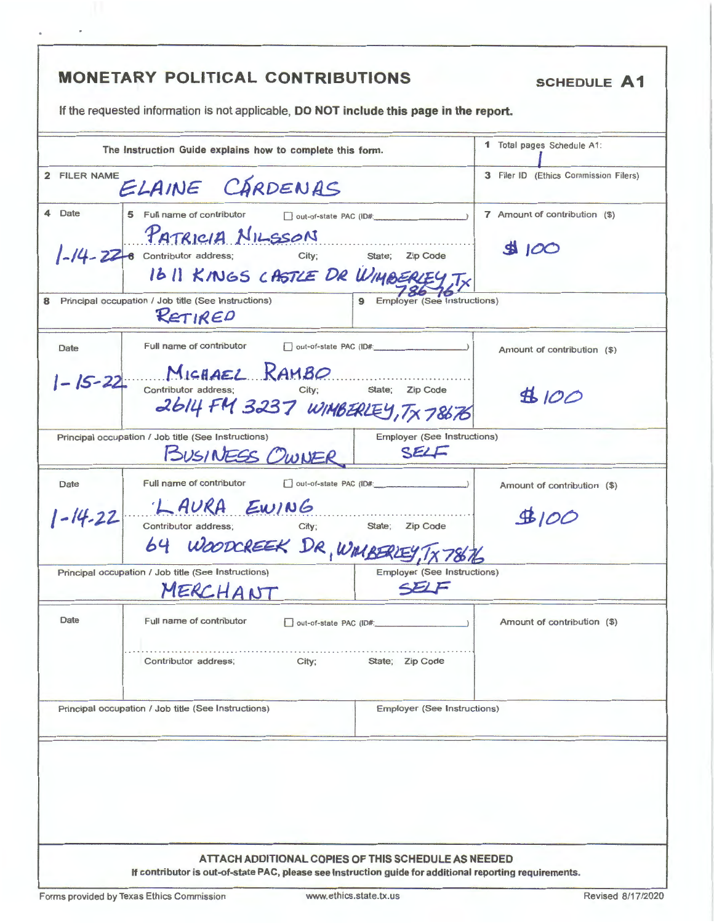|               | The Instruction Guide explains how to complete this form.                                                                                                                                         |                                           | 1 Total pages Schedule A1:            |
|---------------|---------------------------------------------------------------------------------------------------------------------------------------------------------------------------------------------------|-------------------------------------------|---------------------------------------|
| 2 FILER NAME  | ELAINE CÁRDENAS                                                                                                                                                                                   |                                           | 3 Filer ID (Ethics Commission Filers) |
| 4 Date        | 5 Full name of contributor<br>$\Box$ out-of-state PAC (ID#: $\Box$ )<br>PATRICIA NILSSON<br>$1 - 14 - 22 - 6$ Contributor address;<br>City; State; Zip Code<br>1611 KINGS CASTLE DR WIMBERLEY, TX | 7 Amount of contribution (\$)<br>3100     |                                       |
|               | Principal occupation / Job title (See Instructions)<br>RETIRED                                                                                                                                    | 9 Employer (See Instructions)             |                                       |
| Date          | Full name of contributor                                                                                                                                                                          | out-of-state PAC (ID#:                    | Amount of contribution (\$)           |
|               | $1 - 15 - 22$ Contributor address: RAMBO<br>2614 FM 3237 WIMBERLEY, TX 78676                                                                                                                      | State; Zip Code                           | 4100                                  |
|               | Principal occupation / Job title (See Instructions)<br>BUSINESS OWNER                                                                                                                             | Employer (See Instructions)<br>SELF       |                                       |
| Date          | Full name of contributor                                                                                                                                                                          | out-of-state PAC (ID#:                    | Amount of contribution (\$)           |
| $1 - 14 - 22$ | LAURA EWING<br>Contributor address;<br>City;                                                                                                                                                      | State; Zip Code                           | $\underline{\mathfrak{B}}100$         |
|               | 64 WOODCREEK DR, WIMBERIEY, TX78676<br>Principal occupation / Job title (See Instructions)                                                                                                        | Employer (See Instructions)               |                                       |
|               | MERCHANT                                                                                                                                                                                          | SELF                                      |                                       |
| Date          | Full name of contributor<br>City;<br>Contributor address;                                                                                                                                         | out-of-state PAC (ID#:<br>State; Zip Code | Amount of contribution (\$)           |
|               | Principal occupation / Job title (See Instructions)                                                                                                                                               | <b>Employer (See Instructions)</b>        |                                       |
|               |                                                                                                                                                                                                   |                                           |                                       |
|               |                                                                                                                                                                                                   |                                           |                                       |
|               |                                                                                                                                                                                                   |                                           |                                       |

j,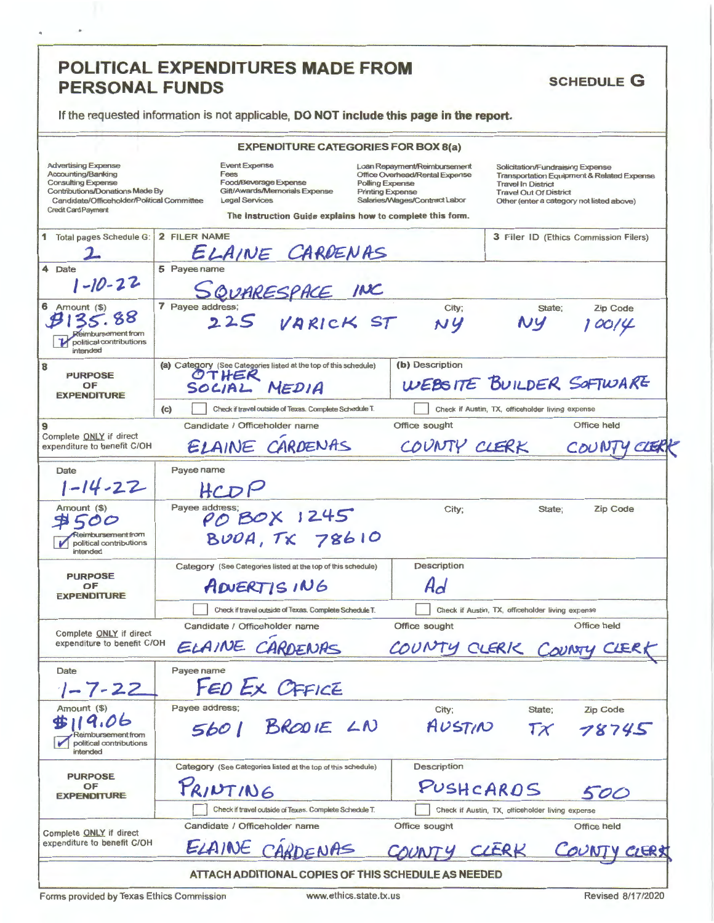| <b>PERSONAL FUNDS</b>                                                                                                                                                                               | <b>POLITICAL EXPENDITURES MADE FROM</b>                                                                                                                                      | <b>SCHEDULE G</b>                                                                                                                                                                                                                                                                                                                                     |
|-----------------------------------------------------------------------------------------------------------------------------------------------------------------------------------------------------|------------------------------------------------------------------------------------------------------------------------------------------------------------------------------|-------------------------------------------------------------------------------------------------------------------------------------------------------------------------------------------------------------------------------------------------------------------------------------------------------------------------------------------------------|
|                                                                                                                                                                                                     | If the requested information is not applicable, DO NOT include this page in the report.                                                                                      |                                                                                                                                                                                                                                                                                                                                                       |
|                                                                                                                                                                                                     | <b>EXPENDITURE CATEGORIES FOR BOX 8(a)</b>                                                                                                                                   |                                                                                                                                                                                                                                                                                                                                                       |
| <b>Advertising Expense</b><br>Accounting/Banking<br><b>Consulting Expense</b><br><b>Contributions/Donations Made By</b><br>Candidate/Officeholder/Political Committee<br><b>Credit Card Payment</b> | <b>Event Expense</b><br>Fees<br>Food/Beverage Expense<br>Gift/Awards/Memorials Expense<br><b>Legal Services</b><br>The instruction Guide explains how to complete this form. | Loan Repayment/Reimbursement<br>Solicitation/Fundraising Expense<br>Office Overhead/Rental Expense<br><b>Transportation Equipment &amp; Related Expense</b><br>Polling Expense<br><b>Travel In District</b><br><b>Printing Expense</b><br><b>Travel Out Of District</b><br>Salaries/Wages/Contract Labor<br>Other (enter a category not listed above) |
| 1 Total pages Schedule G:                                                                                                                                                                           | 2 FILER NAME<br>ELAINE CARDENAS                                                                                                                                              | 3 Filer ID (Ethics Commission Filers)                                                                                                                                                                                                                                                                                                                 |
| $\overline{\bf{4}}$<br>Date<br>$-10-22$                                                                                                                                                             | 5 Payee name<br>SQUARESPACE INC                                                                                                                                              |                                                                                                                                                                                                                                                                                                                                                       |
| 6 Amount (\$)<br>eimbursement from<br>political contributions<br>intended                                                                                                                           | 7 Payee address;<br>225 VARICK ST                                                                                                                                            | <b>Zip Code</b><br>City;<br>State;<br>NY<br>100/4                                                                                                                                                                                                                                                                                                     |
| <b>PURPOSE</b><br>OF<br><b>EXPENDITURE</b>                                                                                                                                                          | (a) Category (See Categories listed at the top of this schedule)<br>OTHER<br>SOLIAL MEDIA                                                                                    | (b) Description<br>WEBSITE BUILDER SOFTWARE                                                                                                                                                                                                                                                                                                           |
|                                                                                                                                                                                                     | Check if travel outside of Texas. Complete Schedule T.<br>(c)<br>Candidate / Officeholder name                                                                               | Check if Austin, TX, officeholder living expense<br><b>Office held</b><br>Office sought                                                                                                                                                                                                                                                               |
| Complete ONLY if direct<br>expenditure to benefit C/OH                                                                                                                                              | ELAINE CARDENAS                                                                                                                                                              | COUNTY CLERK<br>CER                                                                                                                                                                                                                                                                                                                                   |
| Date<br>$1 - 14 - 22$                                                                                                                                                                               | Payee name<br>HCDP                                                                                                                                                           |                                                                                                                                                                                                                                                                                                                                                       |
| Amount (\$)<br>teimbursement from<br>political contributions<br>intended                                                                                                                            | Payee address;<br>POBOX 1245<br>BUDA, TX 78610                                                                                                                               | City;<br>State;<br>Zip Code                                                                                                                                                                                                                                                                                                                           |
| <b>PURPOSE</b><br>OF                                                                                                                                                                                | Category (See Categories listed at the top of this schedule)<br>ADUERTISING                                                                                                  | Description<br>Ad                                                                                                                                                                                                                                                                                                                                     |
| <b>EXPENDITURE</b>                                                                                                                                                                                  | Check if travel outside of Texas. Complete Schedule T.                                                                                                                       | Check if Austin, TX, officeholder living expense                                                                                                                                                                                                                                                                                                      |
|                                                                                                                                                                                                     | Candidate / Officeholder name                                                                                                                                                | Office held<br>Office sought                                                                                                                                                                                                                                                                                                                          |
| Complete ONLY if direct<br>expenditure to benefit C/OH                                                                                                                                              | ELAINE CARDENAS                                                                                                                                                              | COUNTY CLERIC COUNTY CLERI                                                                                                                                                                                                                                                                                                                            |
| Date<br>$1 - 7 - 22$                                                                                                                                                                                | Payee name<br>FED EX OFFICE                                                                                                                                                  |                                                                                                                                                                                                                                                                                                                                                       |
| Amount (\$)<br>political contributions<br>intended                                                                                                                                                  | Payee address;<br>5601 BRODIE LN                                                                                                                                             | City;<br>State;<br>Zip Code<br>AUSTIN<br>$T\chi$<br>78745                                                                                                                                                                                                                                                                                             |
| <b>PURPOSE</b><br>OF<br><b><i>EXPENDITURE</i></b>                                                                                                                                                   | Category (See Categories listed at the top of this schedule)<br>PRINTING                                                                                                     | Description<br>PUSHCARDS<br>500                                                                                                                                                                                                                                                                                                                       |
|                                                                                                                                                                                                     | Check if travel outside of Texas. Complete Schedule T.                                                                                                                       | Check if Austin, TX, officeholder living expense                                                                                                                                                                                                                                                                                                      |
| Complete ONLY if direct<br>expenditure to benefit C/OH                                                                                                                                              | Candidate / Officeholder name<br>ELAINE<br>CARDENAS                                                                                                                          | Office sought<br>Office held<br>CLERK<br>CLERX                                                                                                                                                                                                                                                                                                        |
|                                                                                                                                                                                                     | ATTACH ADDITIONAL COPIES OF THIS SCHEDULE AS NEEDED                                                                                                                          |                                                                                                                                                                                                                                                                                                                                                       |

Forms provided by Texas Ethics Commission

J.